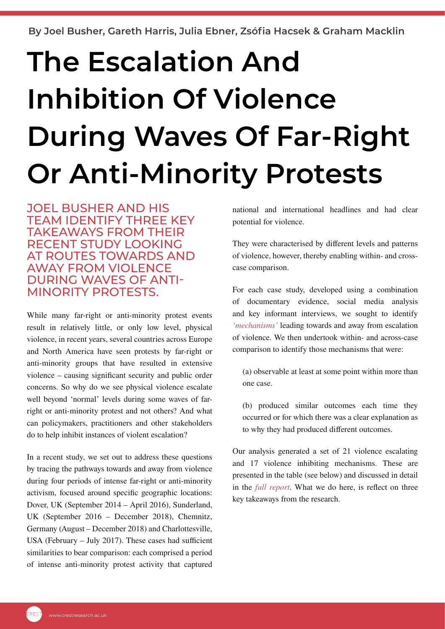**By Joel Busher, Gareth Harris, Julia Ebner, Zsófia Hacsek & Graham Macklin**

# **The Escalation And Inhibition Of Violence During Waves Of Far-Right Or Anti-Minority Protests**

JOEL BUSHER AND HIS TEAM IDENTIFY THREE KEY TAKEAWAYS FROM THEIR RECENT STUDY LOOKING AT ROUTES TOWARDS AND AWAY FROM VIOLENCE DURING WAVES OF ANTI-MINORITY PROTESTS.

While many far-right or anti-minority protest events result in relatively little, or only low level, physical violence, in recent years, several countries across Europe and North America have seen protests by far-right or anti-minority groups that have resulted in extensive violence – causing significant security and public order concerns. So why do we see physical violence escalate well beyond 'normal' levels during some waves of farright or anti-minority protest and not others? And what can policymakers, practitioners and other stakeholders do to help inhibit instances of violent escalation?

In a recent study, we set out to address these questions by tracing the pathways towards and away from violence during four periods of intense far-right or anti-minority activism, focused around specific geographic locations: Dover, UK (September 2014 – April 2016), Sunderland, UK (September 2016 – December 2018), Chemnitz, Germany (August – December 2018) and Charlottesville, USA (February – July 2017). These cases had sufficient similarities to bear comparison: each comprised a period of intense anti-minority protest activity that captured national and international headlines and had clear potential for violence.

They were characterised by different levels and patterns of violence, however, thereby enabling within- and crosscase comparison.

For each case study, developed using a combination of documentary evidence, social media analysis and key informant interviews, we sought to identify *['mechanisms'](https://www.cambridge.org/core/journals/british-journal-of-political-science/article/abs/mechanismic-worldview-thinking-inside-the-box/A7404ECE56BE859D8F99F5CEFB907D80)* leading towards and away from escalation of violence. We then undertook within- and across-case comparison to identify those mechanisms that were:

(a) observable at least at some point within more than one case.

(b) produced similar outcomes each time they occurred or for which there was a clear explanation as to why they had produced different outcomes.

Our analysis generated a set of 21 violence escalating and 17 violence inhibiting mechanisms. These are presented in the table (see below) and discussed in detail in the *ful[l report](https://crestresearch.ac.uk/resources/the-dynamics-of-violence-escalation-and-inhibition-during-hot-periods-of-anti-minority-and-far-right-activism/)*. What we do here, is reflect on three key takeaways from the research.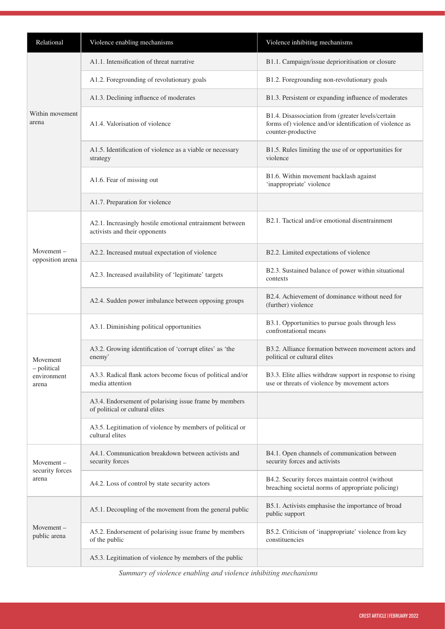| Relational                                      | Violence enabling mechanisms                                                              | Violence inhibiting mechanisms                                                                                                     |
|-------------------------------------------------|-------------------------------------------------------------------------------------------|------------------------------------------------------------------------------------------------------------------------------------|
| Within movement<br>arena                        | A1.1. Intensification of threat narrative                                                 | B1.1. Campaign/issue deprioritisation or closure                                                                                   |
|                                                 | A1.2. Foregrounding of revolutionary goals                                                | B1.2. Foregrounding non-revolutionary goals                                                                                        |
|                                                 | A1.3. Declining influence of moderates                                                    | B1.3. Persistent or expanding influence of moderates                                                                               |
|                                                 | A1.4. Valorisation of violence                                                            | B1.4. Disassociation from (greater levels/certain<br>forms of) violence and/or identification of violence as<br>counter-productive |
|                                                 | A1.5. Identification of violence as a viable or necessary<br>strategy                     | B1.5. Rules limiting the use of or opportunities for<br>violence                                                                   |
|                                                 | A1.6. Fear of missing out                                                                 | B1.6. Within movement backlash against<br>'inappropriate' violence                                                                 |
|                                                 | A1.7. Preparation for violence                                                            |                                                                                                                                    |
| $Movement -$<br>opposition arena                | A2.1. Increasingly hostile emotional entrainment between<br>activists and their opponents | B2.1. Tactical and/or emotional disentrainment                                                                                     |
|                                                 | A2.2. Increased mutual expectation of violence                                            | B2.2. Limited expectations of violence                                                                                             |
|                                                 | A2.3. Increased availability of 'legitimate' targets                                      | B2.3. Sustained balance of power within situational<br>contexts                                                                    |
|                                                 | A2.4. Sudden power imbalance between opposing groups                                      | B2.4. Achievement of dominance without need for<br>(further) violence                                                              |
| Movement<br>- political<br>environment<br>arena | A3.1. Diminishing political opportunities                                                 | B3.1. Opportunities to pursue goals through less<br>confrontational means                                                          |
|                                                 | A3.2. Growing identification of 'corrupt elites' as 'the<br>enemy'                        | B3.2. Alliance formation between movement actors and<br>political or cultural elites                                               |
|                                                 | A3.3. Radical flank actors become focus of political and/or<br>media attention            | B3.3. Elite allies withdraw support in response to rising<br>use or threats of violence by movement actors                         |
|                                                 | A3.4. Endorsement of polarising issue frame by members<br>of political or cultural elites |                                                                                                                                    |
|                                                 | A3.5. Legitimation of violence by members of political or<br>cultural elites              |                                                                                                                                    |
| $Movement -$<br>security forces<br>arena        | A4.1. Communication breakdown between activists and<br>security forces                    | B4.1. Open channels of communication between<br>security forces and activists                                                      |
|                                                 | A4.2. Loss of control by state security actors                                            | B4.2. Security forces maintain control (without<br>breaching societal norms of appropriate policing)                               |
| $Movement -$<br>public arena                    | A5.1. Decoupling of the movement from the general public                                  | B5.1. Activists emphasise the importance of broad<br>public support                                                                |
|                                                 | A5.2. Endorsement of polarising issue frame by members<br>of the public                   | B5.2. Criticism of 'inappropriate' violence from key<br>constituencies                                                             |
|                                                 | A5.3. Legitimation of violence by members of the public                                   |                                                                                                                                    |

*Summary of violence enabling and violence inhibiting mechanisms*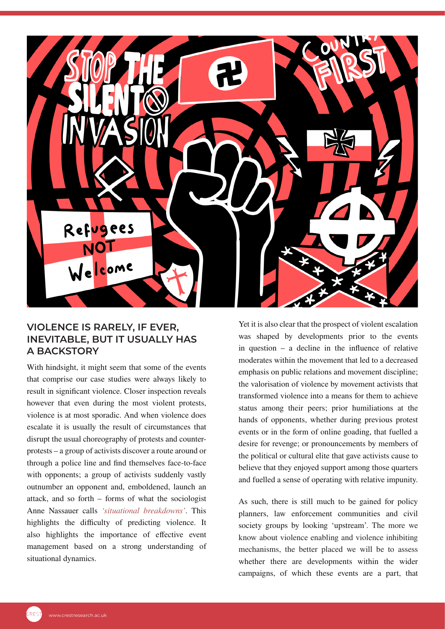

#### **VIOLENCE IS RARELY, IF EVER, INEVITABLE, BUT IT USUALLY HAS A BACKSTORY**

With hindsight, it might seem that some of the events that comprise our case studies were always likely to result in significant violence. Closer inspection reveals however that even during the most violent protests, violence is at most sporadic. And when violence does escalate it is usually the result of circumstances that disrupt the usual choreography of protests and counterprotests – a group of activists discover a route around or through a police line and find themselves face-to-face with opponents; a group of activists suddenly vastly outnumber an opponent and, emboldened, launch an attack, and so forth – forms of what the sociologist Anne Nassauer calls *['situational breakdowns'](https://global.oup.com/academic/product/situational-breakdowns-9780190922061?cc=gb&lang=en&)*. This highlights the difficulty of predicting violence. It also highlights the importance of effective event management based on a strong understanding of situational dynamics.

Yet it is also clear that the prospect of violent escalation was shaped by developments prior to the events in question – a decline in the influence of relative moderates within the movement that led to a decreased emphasis on public relations and movement discipline; the valorisation of violence by movement activists that transformed violence into a means for them to achieve status among their peers; prior humiliations at the hands of opponents, whether during previous protest events or in the form of online goading, that fuelled a desire for revenge; or pronouncements by members of the political or cultural elite that gave activists cause to believe that they enjoyed support among those quarters and fuelled a sense of operating with relative impunity.

As such, there is still much to be gained for policy planners, law enforcement communities and civil society groups by looking 'upstream'. The more we know about violence enabling and violence inhibiting mechanisms, the better placed we will be to assess whether there are developments within the wider campaigns, of which these events are a part, that